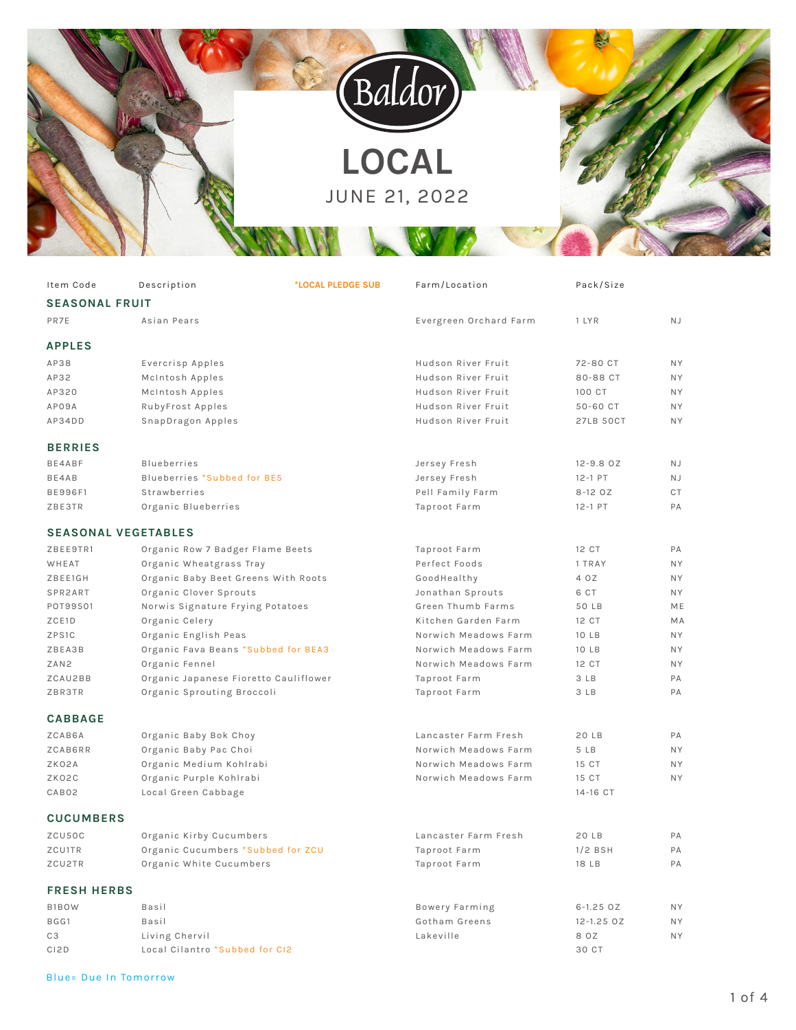

| Item Code                  | Description                           | *LOCAL PLEDGE SUB | Farm/Location          | Pack/Size        |           |
|----------------------------|---------------------------------------|-------------------|------------------------|------------------|-----------|
| <b>SEASONAL FRUIT</b>      |                                       |                   |                        |                  |           |
| PR7E                       | Asian Pears                           |                   | Evergreen Orchard Farm | 1 LYR            | <b>NJ</b> |
|                            |                                       |                   |                        |                  |           |
| <b>APPLES</b>              |                                       |                   |                        |                  |           |
| AP38                       | Evercrisp Apples                      |                   | Hudson River Fruit     | 72-80 CT         | <b>NY</b> |
| AP32                       | McIntosh Apples                       |                   | Hudson River Fruit     | 80-88 CT         | <b>NY</b> |
| AP320                      | McIntosh Apples                       |                   | Hudson River Fruit     | 100 CT           | <b>NY</b> |
| AP09A                      | RubyFrost Apples                      |                   | Hudson River Fruit     | 50-60 CT         | <b>NY</b> |
| AP34DD                     | SnapDragon Apples                     |                   | Hudson River Fruit     | <b>27LB 50CT</b> | <b>NY</b> |
| <b>BERRIES</b>             |                                       |                   |                        |                  |           |
| BE4ABF                     | <b>Blueberries</b>                    |                   | Jersey Fresh           | $12 - 9.8$ OZ    | <b>NJ</b> |
| BE4AB                      | Blueberries *Subbed for BE5           |                   | Jersey Fresh           | 12-1 PT          | N J       |
| <b>BE996F1</b>             | Strawberries                          |                   | Pell Family Farm       | 8-12 OZ          | CT        |
| ZBE3TR                     | Organic Blueberries                   |                   | Taproot Farm           | 12-1 PT          | PA        |
|                            |                                       |                   |                        |                  |           |
| <b>SEASONAL VEGETABLES</b> |                                       |                   |                        |                  |           |
| ZBEE9TR1                   | Organic Row 7 Badger Flame Beets      |                   | Taproot Farm           | 12 CT            | PA        |
| WHEAT                      | Organic Wheatgrass Tray               |                   | Perfect Foods          | 1 TRAY           | <b>NY</b> |
| ZBEE1GH                    | Organic Baby Beet Greens With Roots   |                   | GoodHealthy            | 4 OZ             | <b>NY</b> |
| SPR2ART                    | Organic Clover Sprouts                |                   | Jonathan Sprouts       | 6 CT             | <b>NY</b> |
| POT99501                   | Norwis Signature Frying Potatoes      |                   | Green Thumb Farms      | 50 LB            | <b>ME</b> |
| ZCE1D                      | Organic Celery                        |                   | Kitchen Garden Farm    | 12 CT            | MA        |
| ZPS1C                      | Organic English Peas                  |                   | Norwich Meadows Farm   | 10 LB            | <b>NY</b> |
| ZBEA3B                     | Organic Fava Beans *Subbed for BEA3   |                   | Norwich Meadows Farm   | 10 LB            | <b>NY</b> |
| ZAN <sub>2</sub>           | Organic Fennel                        |                   | Norwich Meadows Farm   | 12 CT            | <b>NY</b> |
| ZCAU2BB                    | Organic Japanese Fioretto Cauliflower |                   | Taproot Farm           | 3 LB             | PA        |
| ZBR3TR                     | Organic Sprouting Broccoli            |                   | Taproot Farm           | 3 LB             | PA        |
| <b>CABBAGE</b>             |                                       |                   |                        |                  |           |
| ZCAB6A                     | Organic Baby Bok Choy                 |                   | Lancaster Farm Fresh   | 20 LB            | PA        |
| ZCAB6RR                    | Organic Baby Pac Choi                 |                   | Norwich Meadows Farm   | 5 LB             | <b>NY</b> |
| ZKO2A                      | Organic Medium Kohlrabi               |                   | Norwich Meadows Farm   | 15 CT            | <b>NY</b> |
| ZKO2C                      | Organic Purple Kohlrabi               |                   | Norwich Meadows Farm   | 15 CT            | <b>NY</b> |
| CAB02                      | Local Green Cabbage                   |                   |                        | 14-16 CT         |           |
| <b>CUCUMBERS</b>           |                                       |                   |                        |                  |           |
|                            |                                       |                   |                        |                  |           |
| ZCU50C                     | Organic Kirby Cucumbers               |                   | Lancaster Farm Fresh   | 20 LB            | PA        |
| ZCU1TR                     | Organic Cucumbers *Subbed for ZCU     |                   | Taproot Farm           | $1/2$ BSH        | PA        |
| ZCU2TR                     | Organic White Cucumbers               |                   | Taproot Farm           | 18 LB            | PA        |
| <b>FRESH HERBS</b>         |                                       |                   |                        |                  |           |
| B1BOW                      | Basil                                 |                   | Bowery Farming         | $6 - 1.25$ OZ    | N Y       |
| BGG1                       | Basil                                 |                   | Gotham Greens          | 12-1.25 OZ       | NY.       |
| CЗ                         | Living Chervil                        |                   | Lakeville              | 8 OZ             | N Y       |
| CI <sub>2</sub> D          | Local Cilantro *Subbed for CI2        |                   |                        | 30 CT            |           |

## Blue= Due In Tomorrow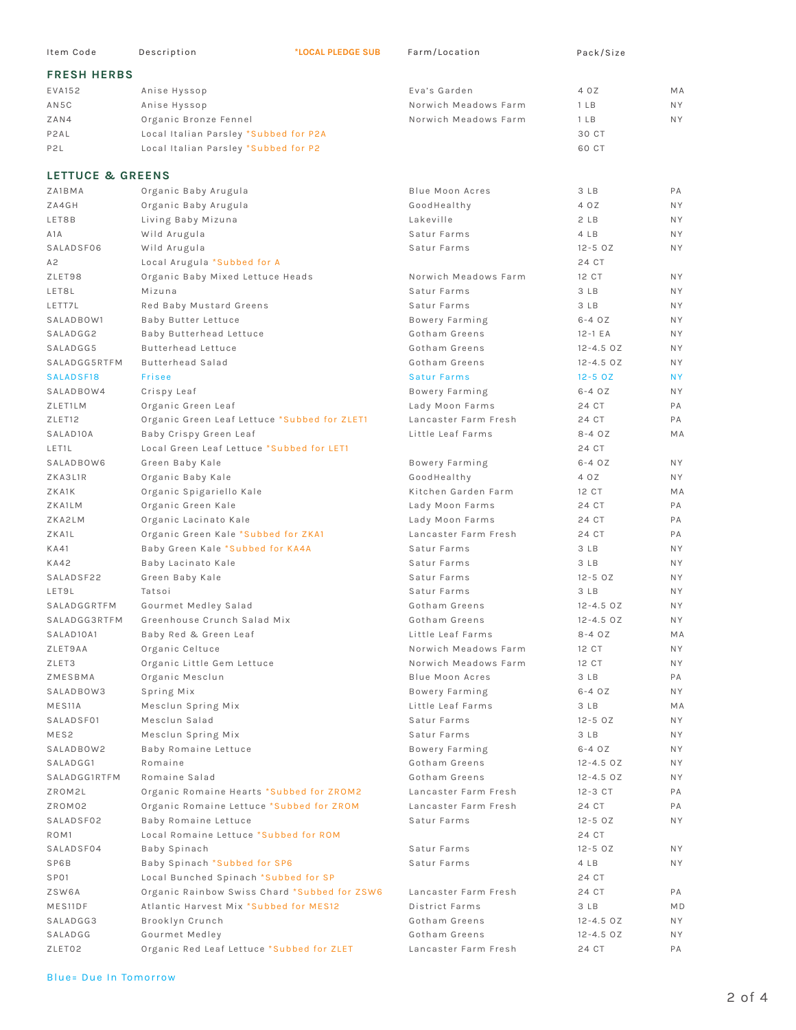| Item Code             | Description                                  | *LOCAL PLEDGE SUB | Farm/Location          | Pack/Size       |                |
|-----------------------|----------------------------------------------|-------------------|------------------------|-----------------|----------------|
| <b>FRESH HERBS</b>    |                                              |                   |                        |                 |                |
| EVA152                | Anise Hyssop                                 |                   | Eva's Garden           | 4 OZ            | MA             |
| AN5C                  | Anise Hyssop                                 |                   | Norwich Meadows Farm   | 1 <sub>LB</sub> | NY.            |
| ZAN4                  | Organic Bronze Fennel                        |                   | Norwich Meadows Farm   | 1 <sub>LB</sub> | <b>NY</b>      |
| P2AL                  | Local Italian Parsley *Subbed for P2A        |                   |                        | 30 CT           |                |
|                       |                                              |                   |                        |                 |                |
| P <sub>2</sub> L      | Local Italian Parsley *Subbed for P2         |                   |                        | 60 CT           |                |
| LETTUCE & GREENS      |                                              |                   |                        |                 |                |
| ZA1BMA                | Organic Baby Arugula                         |                   | <b>Blue Moon Acres</b> | 3 LB            | PA             |
| ZA4GH                 | Organic Baby Arugula                         |                   | GoodHealthy            | 4 OZ            | <b>NY</b>      |
| LET8B                 | Living Baby Mizuna                           |                   | Lakeville              | 2LB             | <b>NY</b>      |
| A <sub>1</sub> A      | Wild Arugula                                 |                   | Satur Farms            | 4 LB            | <b>NY</b>      |
| SALADSF06             | Wild Arugula                                 |                   | Satur Farms            | $12 - 50Z$      | <b>NY</b>      |
| A2                    | Local Arugula *Subbed for A                  |                   |                        | 24 CT           |                |
| ZLET98                | Organic Baby Mixed Lettuce Heads             |                   | Norwich Meadows Farm   | 12 CT           | <b>NY</b>      |
| LET8L                 | Mizuna                                       |                   | Satur Farms            | 3 LB            | <b>NY</b>      |
| LETT7L                | Red Baby Mustard Greens                      |                   | Satur Farms            | 3 LB            | <b>NY</b>      |
| SALADBOW1             | Baby Butter Lettuce                          |                   | Bowery Farming         | $6 - 4$ $0Z$    | <b>NY</b>      |
| SALADGG2              | Baby Butterhead Lettuce                      |                   | Gotham Greens          | $12-1$ EA       | <b>NY</b>      |
| SALADGG5              | <b>Butterhead Lettuce</b>                    |                   | Gotham Greens          | $12 - 4.5$ OZ   | <b>NY</b>      |
| SALADGG5RTFM          | <b>Butterhead Salad</b>                      |                   | Gotham Greens          | $12 - 4.5$ OZ   | <b>NY</b>      |
| SALADSF18             | Frisee                                       |                   | <b>Satur Farms</b>     | $12 - 50Z$      | <b>NY</b>      |
| SALADBOW4             | Crispy Leaf                                  |                   | Bowery Farming         | $6-4$ $0Z$      | <b>NY</b>      |
| ZLET1LM               | Organic Green Leaf                           |                   | Lady Moon Farms        | 24 CT           | PA             |
| ZLET12                | Organic Green Leaf Lettuce *Subbed for ZLET1 |                   | Lancaster Farm Fresh   | 24 CT           | PA             |
| SALAD <sub>10</sub> A | Baby Crispy Green Leaf                       |                   | Little Leaf Farms      | $8-40Z$         | MA             |
| LET1L                 | Local Green Leaf Lettuce *Subbed for LET1    |                   |                        | 24 CT           |                |
| SALADBOW6             | Green Baby Kale                              |                   | Bowery Farming         | $6-4$ $0Z$      | <b>NY</b>      |
| ZKA3L1R               | Organic Baby Kale                            |                   | GoodHealthy            | 4 OZ            | <b>NY</b>      |
| ZKA1K                 | Organic Spigariello Kale                     |                   | Kitchen Garden Farm    | 12 CT           | MA             |
| ZKA1LM                | Organic Green Kale                           |                   | Lady Moon Farms        | 24 CT           | PA             |
| ZKA2LM                | Organic Lacinato Kale                        |                   | Lady Moon Farms        | 24 CT           | PA             |
| ZKA1L                 | Organic Green Kale *Subbed for ZKA1          |                   | Lancaster Farm Fresh   | 24 CT           | PA             |
| <b>KA41</b>           | Baby Green Kale *Subbed for KA4A             |                   | Satur Farms            | 3 LB            | <b>NY</b>      |
| <b>KA42</b>           | Baby Lacinato Kale                           |                   | Satur Farms            | 3 LB            | <b>NY</b>      |
| SALADSF22             | Green Baby Kale                              |                   | Satur Farms            | $12 - 50Z$      | <b>NY</b>      |
| LET9L                 | Tatsoi                                       |                   | Satur Farms            | 3 LB            | <b>NY</b>      |
| SALADGGRTFM           | Gourmet Medley Salad                         |                   | Gotham Greens          | $12 - 4.5$ OZ   | <b>NY</b>      |
| <b>SALADGG3RTFM</b>   | Greenhouse Crunch Salad Mix                  |                   | Gotham Greens          | $12 - 4.5$ OZ   | <b>NY</b>      |
| SALAD10A1             | Baby Red & Green Leaf                        |                   | Little Leaf Farms      | $8-40Z$         | MA             |
| ZLET9AA               | Organic Celtuce                              |                   | Norwich Meadows Farm   | 12 CT           | NY.            |
| ZLET3                 | Organic Little Gem Lettuce                   |                   | Norwich Meadows Farm   | 12 CT           | <b>NY</b>      |
| ZMESBMA               | Organic Mesclun                              |                   | <b>Blue Moon Acres</b> | 3 LB            | PA             |
| SALADBOW3             | Spring Mix                                   |                   | Bowery Farming         | $6-4$ $0Z$      | N Y            |
| MES <sub>11</sub> A   | Mesclun Spring Mix                           |                   | Little Leaf Farms      | 3 LB            | MA             |
| SALADSF01             | Mesclun Salad                                |                   | Satur Farms            | $12 - 50Z$      | NY.            |
| MES2                  | Mesclun Spring Mix                           |                   | Satur Farms            | 3 LB            | <b>NY</b>      |
| SALADBOW2             | Baby Romaine Lettuce                         |                   | Bowery Farming         | $6-4$ $0Z$      | <b>NY</b>      |
| SALADGG1              | Romaine                                      |                   | Gotham Greens          | $12 - 4.5$ OZ   | <b>NY</b>      |
| SALADGG1RTFM          | Romaine Salad                                |                   | Gotham Greens          | $12 - 4.5$ OZ   | <b>NY</b>      |
| ZROM2L                | Organic Romaine Hearts *Subbed for ZROM2     |                   | Lancaster Farm Fresh   | 12-3 CT         | PA             |
| ZROM02                | Organic Romaine Lettuce *Subbed for ZROM     |                   | Lancaster Farm Fresh   | 24 CT           | PA             |
| SALADSF02             | Baby Romaine Lettuce                         |                   | Satur Farms            | $12 - 50Z$      | <b>NY</b>      |
| ROM <sub>1</sub>      | Local Romaine Lettuce *Subbed for ROM        |                   |                        | 24 CT           |                |
| SALADSF04             | Baby Spinach                                 |                   | Satur Farms            | $12 - 50Z$      | NY.            |
| SP6B                  | Baby Spinach *Subbed for SP6                 |                   | Satur Farms            | 4 LB            | NY.            |
| SP01                  | Local Bunched Spinach *Subbed for SP         |                   |                        | 24 CT           |                |
| ZSW6A                 | Organic Rainbow Swiss Chard *Subbed for ZSW6 |                   | Lancaster Farm Fresh   | 24 CT           | PA             |
| MES11DF               | Atlantic Harvest Mix *Subbed for MES12       |                   | District Farms         | 3 LB            | M <sub>D</sub> |
| SALADGG3              | Brooklyn Crunch                              |                   | Gotham Greens          | $12 - 4.5$ OZ   | NY.            |
| SALADGG               | Gourmet Medley                               |                   | Gotham Greens          | $12 - 4.5$ OZ   | <b>NY</b>      |
| ZLET02                | Organic Red Leaf Lettuce *Subbed for ZLET    |                   | Lancaster Farm Fresh   | 24 CT           | РA             |
|                       |                                              |                   |                        |                 |                |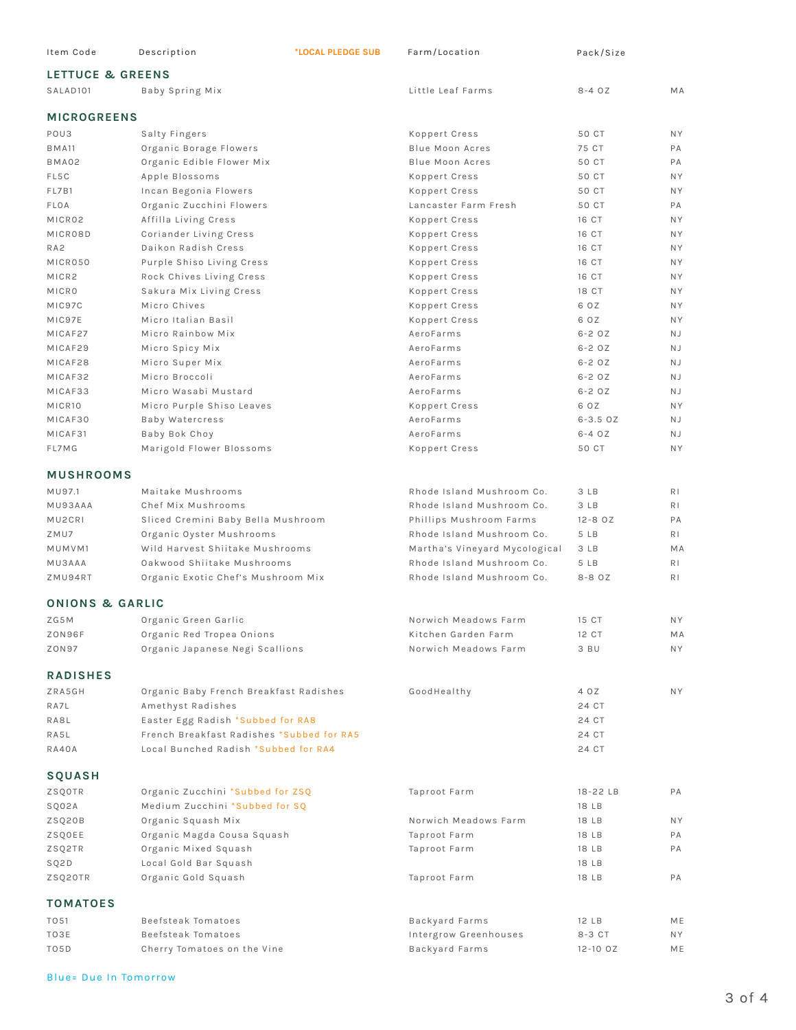| Item Code                   | Description                                                                    | *LOCAL PLEDGE SUB | Farm/Location                 | Pack/Size      |                |
|-----------------------------|--------------------------------------------------------------------------------|-------------------|-------------------------------|----------------|----------------|
| <b>LETTUCE &amp; GREENS</b> |                                                                                |                   |                               |                |                |
| SALAD <sub>101</sub>        | Baby Spring Mix                                                                |                   | Little Leaf Farms             | $8 - 40Z$      | MA             |
| <b>MICROGREENS</b>          |                                                                                |                   |                               |                |                |
| POU3                        | Salty Fingers                                                                  |                   | Koppert Cress                 | 50 CT          | <b>NY</b>      |
| <b>BMA11</b>                | Organic Borage Flowers                                                         |                   | <b>Blue Moon Acres</b>        | 75 CT          | PA             |
| BMA02                       | Organic Edible Flower Mix                                                      |                   | <b>Blue Moon Acres</b>        | 50 CT          | PA             |
| FL5C                        | Apple Blossoms                                                                 |                   | Koppert Cress                 | 50 CT          | N Y            |
| FL7B1                       | Incan Begonia Flowers                                                          |                   | Koppert Cress                 | 50 CT          | N Y            |
| FLOA                        | Organic Zucchini Flowers                                                       |                   | Lancaster Farm Fresh          | 50 CT          | PA             |
| MICR02                      | Affilla Living Cress                                                           |                   | Koppert Cress                 | 16 CT          | N Y            |
| MICR08D                     | Coriander Living Cress                                                         |                   | Koppert Cress                 | 16 CT          | N Y            |
| RA <sub>2</sub>             | Daikon Radish Cress                                                            |                   | Koppert Cress                 | 16 CT          | N Y            |
| MICR050                     | Purple Shiso Living Cress                                                      |                   | Koppert Cress                 | 16 CT          | <b>NY</b>      |
| MICR2                       | Rock Chives Living Cress                                                       |                   | Koppert Cress                 | 16 CT          | N Y            |
| MICRO                       | Sakura Mix Living Cress                                                        |                   | Koppert Cress                 | 18 CT          | N Y            |
| MIC97C                      | Micro Chives                                                                   |                   | Koppert Cress                 | 6 OZ           | <b>NY</b>      |
| MIC97E                      | Micro Italian Basil                                                            |                   | Koppert Cress                 | 6 OZ           | N Y            |
| MICAF27                     | Micro Rainbow Mix                                                              |                   | AeroFarms                     | $6-2$ $0Z$     | N J            |
| MICAF29                     | Micro Spicy Mix                                                                |                   | AeroFarms                     | $6-2$ $0Z$     | <b>NJ</b>      |
| MICAF28                     | Micro Super Mix                                                                |                   | AeroFarms                     | $6-2$ $0Z$     | <b>NJ</b>      |
| MICAF32                     | Micro Broccoli                                                                 |                   | AeroFarms                     | $6 - 2$ $0Z$   | N J            |
| MICAF33                     | Micro Wasabi Mustard                                                           |                   | AeroFarms                     | $6 - 2$ $0Z$   | N J            |
| MICR10                      | Micro Purple Shiso Leaves                                                      |                   | Koppert Cress                 | 6 OZ           | <b>NY</b>      |
| MICAF30                     | Baby Watercress                                                                |                   | AeroFarms                     | $6 - 3.5$ $0Z$ | <b>NJ</b>      |
| MICAF31                     | Baby Bok Choy                                                                  |                   | AeroFarms                     | $6 - 4$ $0Z$   | N J            |
| FL7MG                       | Marigold Flower Blossoms                                                       |                   | Koppert Cress                 | 50 CT          | <b>NY</b>      |
| <b>MUSHROOMS</b>            |                                                                                |                   |                               |                |                |
| MU97.1                      | Maitake Mushrooms                                                              |                   | Rhode Island Mushroom Co.     | 3 LB           | R <sub>1</sub> |
| MU93AAA                     | Chef Mix Mushrooms                                                             |                   | Rhode Island Mushroom Co.     | 3 LB           | R I            |
| MU2CRI                      | Sliced Cremini Baby Bella Mushroom                                             |                   | Phillips Mushroom Farms       | $12 - 8$ $0Z$  | PA             |
| ZMU7                        | Organic Oyster Mushrooms                                                       |                   | Rhode Island Mushroom Co.     | 5 LB           | R I            |
| MUMVM1                      | Wild Harvest Shiitake Mushrooms                                                |                   | Martha's Vineyard Mycological | 3 LB           | MA             |
| <b>MU3AAA</b>               | Oakwood Shiitake Mushrooms                                                     |                   | Rhode Island Mushroom Co.     | 5 LB           | R <sub>1</sub> |
| ZMU94RT                     | Organic Exotic Chef's Mushroom Mix                                             |                   | Rhode Island Mushroom Co.     | 8-8 OZ         | R <sub>1</sub> |
| ONIONS & GARLIC             |                                                                                |                   |                               |                |                |
| ZG5M                        | Organic Green Garlic                                                           |                   | Norwich Meadows Farm          | 15 CT          | NY.            |
| ZON96F                      | Organic Red Tropea Onions                                                      |                   | Kitchen Garden Farm           | 12 CT          | МA             |
| ZON97                       | Organic Japanese Negi Scallions                                                |                   | Norwich Meadows Farm          | 3 BU           | NY.            |
|                             |                                                                                |                   |                               |                |                |
| <b>RADISHES</b>             |                                                                                |                   |                               |                |                |
| ZRA5GH                      | Organic Baby French Breakfast Radishes                                         |                   | GoodHealthy                   | 4 OZ           | NY.            |
| RA7L                        | Amethyst Radishes                                                              |                   |                               | 24 CT          |                |
| RA8L                        | Easter Egg Radish *Subbed for RA8<br>French Breakfast Radishes *Subbed for RA5 |                   |                               | 24 CT          |                |
| RA5L<br>RA40A               | Local Bunched Radish *Subbed for RA4                                           |                   |                               | 24 CT<br>24 CT |                |
| <b>SQUASH</b>               |                                                                                |                   |                               |                |                |
|                             |                                                                                |                   |                               |                |                |
| ZSQOTR                      | Organic Zucchini *Subbed for ZSQ                                               |                   | Taproot Farm                  | 18-22 LB       | PA             |
| SQ02A                       | Medium Zucchini *Subbed for SQ                                                 |                   |                               | 18 LB          |                |
| ZSQ20B                      | Organic Squash Mix<br>Organic Magda Cousa Squash                               |                   | Norwich Meadows Farm          | 18 LB          | N Y<br>РA      |
| ZSQOEE<br>ZSQ2TR            | Organic Mixed Squash                                                           |                   | Taproot Farm<br>Taproot Farm  | 18 LB<br>18 LB | РA             |
| SQ2D                        | Local Gold Bar Squash                                                          |                   |                               | 18 LB          |                |
| ZSQ20TR                     | Organic Gold Squash                                                            |                   | Taproot Farm                  | 18 LB          | PA             |
| <b>TOMATOES</b>             |                                                                                |                   |                               |                |                |
| TO 51                       | Beefsteak Tomatoes                                                             |                   | Backyard Farms                | 12 LB          | ME             |
| TO3E                        | Beefsteak Tomatoes                                                             |                   | Intergrow Greenhouses         | 8-3 CT         | NY.            |
| TO5D                        | Cherry Tomatoes on the Vine                                                    |                   | Backyard Farms                | $12 - 10$ $0Z$ | МE             |
|                             |                                                                                |                   |                               |                |                |

Blue= Due In Tomorrow